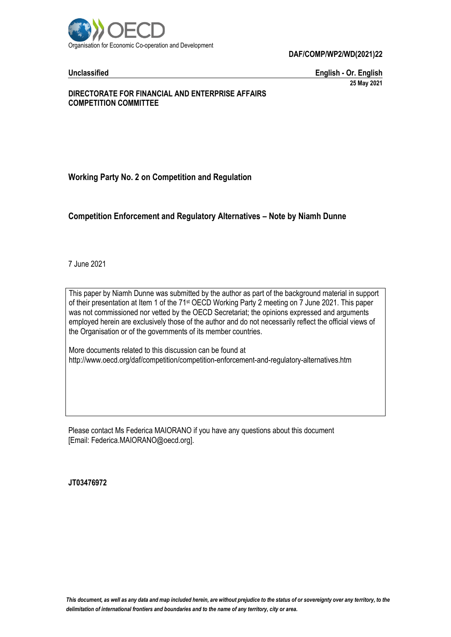

**Unclassified English - Or. English 25 May 2021**

# **DIRECTORATE FOR FINANCIAL AND ENTERPRISE AFFAIRS COMPETITION COMMITTEE**

**Working Party No. 2 on Competition and Regulation**

# **Competition Enforcement and Regulatory Alternatives – Note by Niamh Dunne**

7 June 2021

This paper by Niamh Dunne was submitted by the author as part of the background material in support of their presentation at Item 1 of the 71<sup>st</sup> OECD Working Party 2 meeting on 7 June 2021. This paper was not commissioned nor vetted by the OECD Secretariat; the opinions expressed and arguments employed herein are exclusively those of the author and do not necessarily reflect the official views of the Organisation or of the governments of its member countries.

More documents related to this discussion can be found at http://www.oecd.org/daf/competition/competition-enforcement-and-regulatory-alternatives.htm

Please contact Ms Federica MAIORANO if you have any questions about this document [Email: Federica.MAIORANO@oecd.org].

**JT03476972**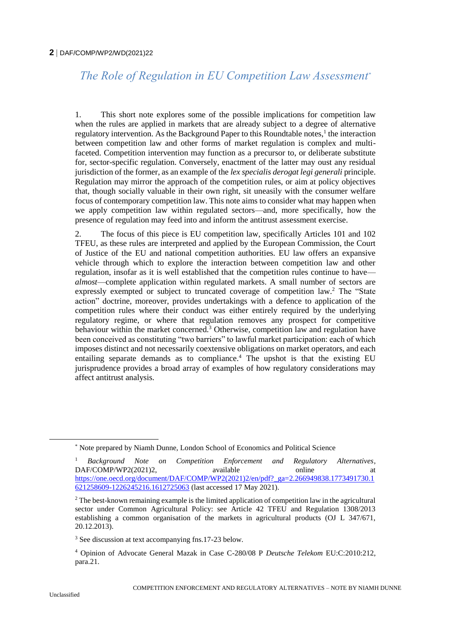# *The Role of Regulation in EU Competition Law Assessment\**

1. This short note explores some of the possible implications for competition law when the rules are applied in markets that are already subject to a degree of alternative regulatory intervention. As the Background Paper to this Roundtable notes,<sup>1</sup> the interaction between competition law and other forms of market regulation is complex and multifaceted. Competition intervention may function as a precursor to, or deliberate substitute for, sector-specific regulation. Conversely, enactment of the latter may oust any residual jurisdiction of the former, as an example of the *lex specialis derogat legi generali* principle. Regulation may mirror the approach of the competition rules, or aim at policy objectives that, though socially valuable in their own right, sit uneasily with the consumer welfare focus of contemporary competition law. This note aims to consider what may happen when we apply competition law within regulated sectors—and, more specifically, how the presence of regulation may feed into and inform the antitrust assessment exercise.

2. The focus of this piece is EU competition law, specifically Articles 101 and 102 TFEU, as these rules are interpreted and applied by the European Commission, the Court of Justice of the EU and national competition authorities. EU law offers an expansive vehicle through which to explore the interaction between competition law and other regulation, insofar as it is well established that the competition rules continue to have *almost*—complete application within regulated markets. A small number of sectors are expressly exempted or subject to truncated coverage of competition law.<sup>2</sup> The "State action" doctrine, moreover, provides undertakings with a defence to application of the competition rules where their conduct was either entirely required by the underlying regulatory regime, or where that regulation removes any prospect for competitive behaviour within the market concerned.<sup>3</sup> Otherwise, competition law and regulation have been conceived as constituting "two barriers" to lawful market participation: each of which imposes distinct and not necessarily coextensive obligations on market operators, and each entailing separate demands as to compliance.<sup>4</sup> The upshot is that the existing EU jurisprudence provides a broad array of examples of how regulatory considerations may affect antitrust analysis.

<sup>\*</sup> Note prepared by Niamh Dunne, London School of Economics and Political Science

<sup>1</sup> *Background Note on Competition Enforcement and Regulatory Alternatives*, DAF/COMP/WP2(2021)2, available online at [https://one.oecd.org/document/DAF/COMP/WP2\(2021\)2/en/pdf?\\_ga=2.266949838.1773491730.1](https://one.oecd.org/document/DAF/COMP/WP2(2021)2/en/pdf?_ga=2.266949838.1773491730.1621258609-1226245216.1612725063) [621258609-1226245216.1612725063](https://one.oecd.org/document/DAF/COMP/WP2(2021)2/en/pdf?_ga=2.266949838.1773491730.1621258609-1226245216.1612725063) (last accessed 17 May 2021).

<sup>&</sup>lt;sup>2</sup> The best-known remaining example is the limited application of competition law in the agricultural sector under Common Agricultural Policy: see Article 42 TFEU and Regulation 1308/2013 establishing a common organisation of the markets in agricultural products (OJ L 347/671, 20.12.2013).

<sup>3</sup> See discussion at text accompanying fns.17-23 below.

<sup>4</sup> Opinion of Advocate General Mazak in Case C-280/08 P *Deutsche Telekom* EU:C:2010:212, para.21.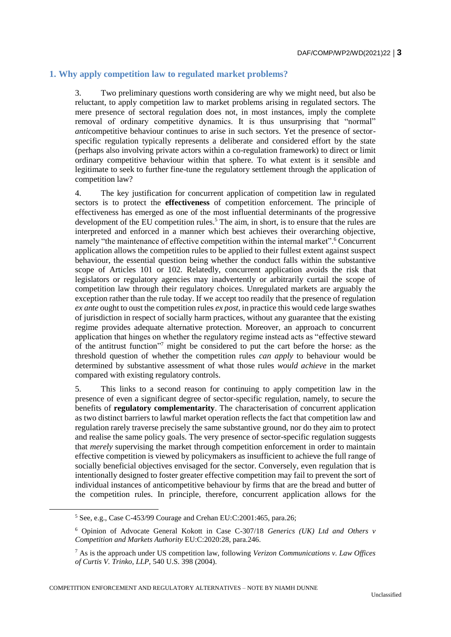# **1. Why apply competition law to regulated market problems?**

3. Two preliminary questions worth considering are why we might need, but also be reluctant, to apply competition law to market problems arising in regulated sectors. The mere presence of sectoral regulation does not, in most instances, imply the complete removal of ordinary competitive dynamics. It is thus unsurprising that "normal" *anti*competitive behaviour continues to arise in such sectors. Yet the presence of sectorspecific regulation typically represents a deliberate and considered effort by the state (perhaps also involving private actors within a co-regulation framework) to direct or limit ordinary competitive behaviour within that sphere. To what extent is it sensible and legitimate to seek to further fine-tune the regulatory settlement through the application of competition law?

4. The key justification for concurrent application of competition law in regulated sectors is to protect the **effectiveness** of competition enforcement. The principle of effectiveness has emerged as one of the most influential determinants of the progressive development of the EU competition rules.<sup>5</sup> The aim, in short, is to ensure that the rules are interpreted and enforced in a manner which best achieves their overarching objective, namely "the maintenance of effective competition within the internal market".<sup>6</sup> Concurrent application allows the competition rules to be applied to their fullest extent against suspect behaviour, the essential question being whether the conduct falls within the substantive scope of Articles 101 or 102. Relatedly, concurrent application avoids the risk that legislators or regulatory agencies may inadvertently or arbitrarily curtail the scope of competition law through their regulatory choices. Unregulated markets are arguably the exception rather than the rule today. If we accept too readily that the presence of regulation *ex ante* ought to oust the competition rules *ex post*, in practice this would cede large swathes of jurisdiction in respect of socially harm practices, without any guarantee that the existing regime provides adequate alternative protection. Moreover, an approach to concurrent application that hinges on whether the regulatory regime instead acts as "effective steward of the antitrust function" <sup>7</sup> might be considered to put the cart before the horse: as the threshold question of whether the competition rules *can apply* to behaviour would be determined by substantive assessment of what those rules *would achieve* in the market compared with existing regulatory controls.

5. This links to a second reason for continuing to apply competition law in the presence of even a significant degree of sector-specific regulation, namely, to secure the benefits of **regulatory complementarity**. The characterisation of concurrent application as two distinct barriers to lawful market operation reflects the fact that competition law and regulation rarely traverse precisely the same substantive ground, nor do they aim to protect and realise the same policy goals. The very presence of sector-specific regulation suggests that *merely* supervising the market through competition enforcement in order to maintain effective competition is viewed by policymakers as insufficient to achieve the full range of socially beneficial objectives envisaged for the sector. Conversely, even regulation that is intentionally designed to foster greater effective competition may fail to prevent the sort of individual instances of anticompetitive behaviour by firms that are the bread and butter of the competition rules. In principle, therefore, concurrent application allows for the

 $\overline{a}$ 

COMPETITION ENFORCEMENT AND REGULATORY ALTERNATIVES – NOTE BY NIAMH DUNNE

 $5$  See, e.g., Case C-453/99 Courage and Crehan EU:C:2001:465, para.26;

<sup>6</sup> Opinion of Advocate General Kokott in Case C-307/18 *Generics (UK) Ltd and Others v Competition and Markets Authority* EU:C:2020:28, para.246.

<sup>7</sup> As is the approach under US competition law, following *Verizon Communications v. Law Offices of Curtis V. Trinko, LLP,* 540 U.S. 398 (2004).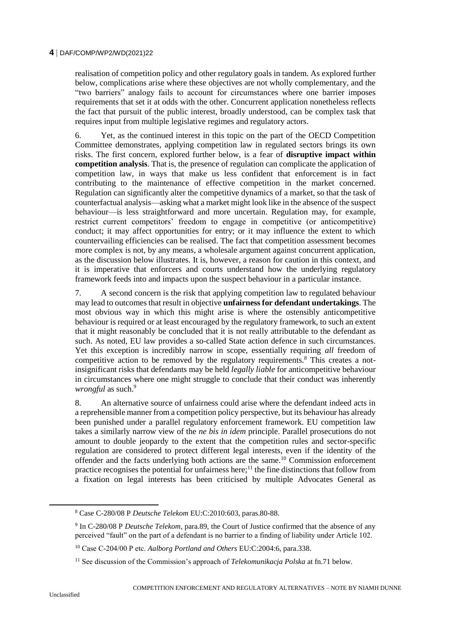realisation of competition policy and other regulatory goals in tandem. As explored further below, complications arise where these objectives are not wholly complementary, and the "two barriers" analogy fails to account for circumstances where one barrier imposes requirements that set it at odds with the other. Concurrent application nonetheless reflects the fact that pursuit of the public interest, broadly understood, can be complex task that requires input from multiple legislative regimes and regulatory actors.

6. Yet, as the continued interest in this topic on the part of the OECD Competition Committee demonstrates, applying competition law in regulated sectors brings its own risks. The first concern, explored further below, is a fear of **disruptive impact within competition analysis**. That is, the presence of regulation can complicate the application of competition law, in ways that make us less confident that enforcement is in fact contributing to the maintenance of effective competition in the market concerned. Regulation can significantly alter the competitive dynamics of a market, so that the task of counterfactual analysis—asking what a market might look like in the absence of the suspect behaviour—is less straightforward and more uncertain. Regulation may, for example, restrict current competitors' freedom to engage in competitive (or anticompetitive) conduct; it may affect opportunities for entry; or it may influence the extent to which countervailing efficiencies can be realised. The fact that competition assessment becomes more complex is not, by any means, a wholesale argument against concurrent application, as the discussion below illustrates. It is, however, a reason for caution in this context, and it is imperative that enforcers and courts understand how the underlying regulatory framework feeds into and impacts upon the suspect behaviour in a particular instance.

7. A second concern is the risk that applying competition law to regulated behaviour may lead to outcomes that result in objective **unfairness for defendant undertakings**. The most obvious way in which this might arise is where the ostensibly anticompetitive behaviour is required or at least encouraged by the regulatory framework, to such an extent that it might reasonably be concluded that it is not really attributable to the defendant as such. As noted, EU law provides a so-called State action defence in such circumstances. Yet this exception is incredibly narrow in scope, essentially requiring *all* freedom of competitive action to be removed by the regulatory requirements.<sup>8</sup> This creates a notinsignificant risks that defendants may be held *legally liable* for anticompetitive behaviour in circumstances where one might struggle to conclude that their conduct was inherently *wrongful* as such.<sup>9</sup>

8. An alternative source of unfairness could arise where the defendant indeed acts in a reprehensible manner from a competition policy perspective, but its behaviour has already been punished under a parallel regulatory enforcement framework. EU competition law takes a similarly narrow view of the *ne bis in idem* principle. Parallel prosecutions do not amount to double jeopardy to the extent that the competition rules and sector-specific regulation are considered to protect different legal interests, even if the identity of the offender and the facts underlying both actions are the same.<sup>10</sup> Commission enforcement practice recognises the potential for unfairness here;<sup>11</sup> the fine distinctions that follow from a fixation on legal interests has been criticised by multiple Advocates General as

<sup>8</sup> Case C-280/08 P *Deutsche Telekom* EU:C:2010:603, paras.80-88.

<sup>9</sup> In C-280/08 P *Deutsche Telekom*, para.89, the Court of Justice confirmed that the absence of any perceived "fault" on the part of a defendant is no barrier to a finding of liability under Article 102.

<sup>10</sup> Case C‑204/00 P etc. *Aalborg Portland and Others* EU:C:2004:6, para.338.

<sup>&</sup>lt;sup>11</sup> See discussion of the Commission's approach of *Telekomunikacja Polska* at fn.71 below.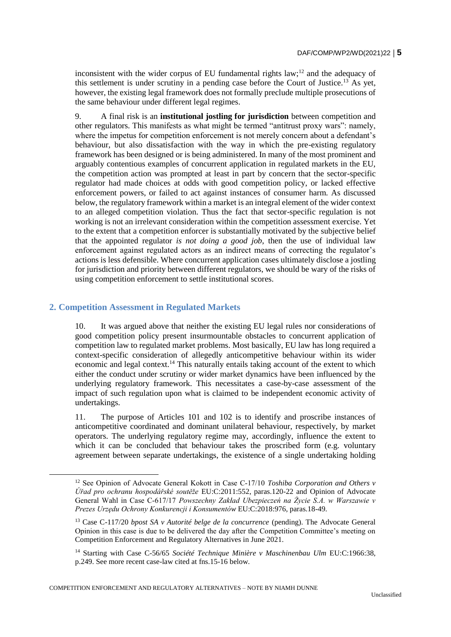inconsistent with the wider corpus of EU fundamental rights  $law$ <sup>12</sup> and the adequacy of this settlement is under scrutiny in a pending case before the Court of Justice.<sup>13</sup> As yet, however, the existing legal framework does not formally preclude multiple prosecutions of the same behaviour under different legal regimes.

9. A final risk is an **institutional jostling for jurisdiction** between competition and other regulators. This manifests as what might be termed "antitrust proxy wars": namely, where the impetus for competition enforcement is not merely concern about a defendant's behaviour, but also dissatisfaction with the way in which the pre-existing regulatory framework has been designed or is being administered. In many of the most prominent and arguably contentious examples of concurrent application in regulated markets in the EU, the competition action was prompted at least in part by concern that the sector-specific regulator had made choices at odds with good competition policy, or lacked effective enforcement powers, or failed to act against instances of consumer harm. As discussed below, the regulatory framework within a market is an integral element of the wider context to an alleged competition violation. Thus the fact that sector-specific regulation is not working is not an irrelevant consideration within the competition assessment exercise. Yet to the extent that a competition enforcer is substantially motivated by the subjective belief that the appointed regulator *is not doing a good job*, then the use of individual law enforcement against regulated actors as an indirect means of correcting the regulator's actions is less defensible. Where concurrent application cases ultimately disclose a jostling for jurisdiction and priority between different regulators, we should be wary of the risks of using competition enforcement to settle institutional scores.

# **2. Competition Assessment in Regulated Markets**

 $\overline{a}$ 

10. It was argued above that neither the existing EU legal rules nor considerations of good competition policy present insurmountable obstacles to concurrent application of competition law to regulated market problems. Most basically, EU law has long required a context-specific consideration of allegedly anticompetitive behaviour within its wider economic and legal context.<sup>14</sup> This naturally entails taking account of the extent to which either the conduct under scrutiny or wider market dynamics have been influenced by the underlying regulatory framework. This necessitates a case-by-case assessment of the impact of such regulation upon what is claimed to be independent economic activity of undertakings.

11. The purpose of Articles 101 and 102 is to identify and proscribe instances of anticompetitive coordinated and dominant unilateral behaviour, respectively, by market operators. The underlying regulatory regime may, accordingly, influence the extent to which it can be concluded that behaviour takes the proscribed form (e.g. voluntary agreement between separate undertakings, the existence of a single undertaking holding

COMPETITION ENFORCEMENT AND REGULATORY ALTERNATIVES – NOTE BY NIAMH DUNNE

<sup>&</sup>lt;sup>12</sup> See Opinion of Advocate General Kokott in Case C-17/10 *Toshiba Corporation and Others v Úřad pro ochranu hospodářské soutěže* EU:C:2011:552, paras.120-22 and Opinion of Advocate General Wahl in Case C‑617/17 *Powszechny Zakład Ubezpieczeń na Życie S.A. w Warszawie v Prezes Urzędu Ochrony Konkurencji i Konsumentów* EU:C:2018:976, paras.18-49.

<sup>13</sup> Case C-117/20 *bpost SA v Autorité belge de la concurrence* (pending). The Advocate General Opinion in this case is due to be delivered the day after the Competition Committee's meeting on Competition Enforcement and Regulatory Alternatives in June 2021.

<sup>14</sup> Starting with Case C-56/65 *Société Technique Minière v Maschinenbau Ulm* EU:C:1966:38, p.249. See more recent case-law cited at fns.15-16 below.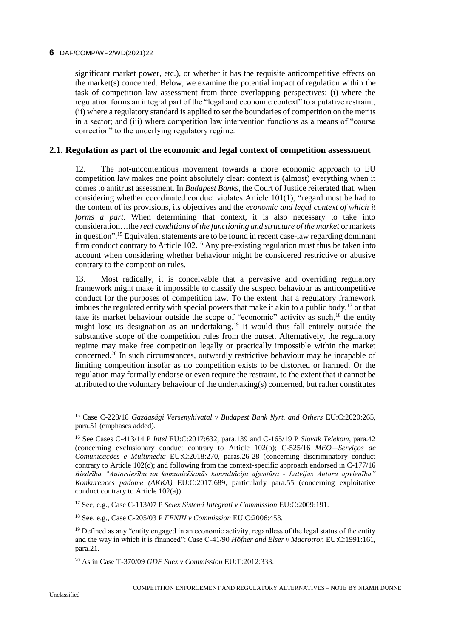significant market power, etc.), or whether it has the requisite anticompetitive effects on the market(s) concerned. Below, we examine the potential impact of regulation within the task of competition law assessment from three overlapping perspectives: (i) where the regulation forms an integral part of the "legal and economic context" to a putative restraint; (ii) where a regulatory standard is applied to set the boundaries of competition on the merits in a sector; and (iii) where competition law intervention functions as a means of "course correction" to the underlying regulatory regime.

# **2.1. Regulation as part of the economic and legal context of competition assessment**

12. The not-uncontentious movement towards a more economic approach to EU competition law makes one point absolutely clear: context is (almost) everything when it comes to antitrust assessment. In *Budapest Banks*, the Court of Justice reiterated that, when considering whether coordinated conduct violates Article 101(1), "regard must be had to the content of its provisions, its objectives and the *economic and legal context of which it forms a part*. When determining that context, it is also necessary to take into consideration…the *real conditions of the functioning and structure of the market* or markets in question".<sup>15</sup> Equivalent statements are to be found in recent case-law regarding dominant firm conduct contrary to Article 102.<sup>16</sup> Any pre-existing regulation must thus be taken into account when considering whether behaviour might be considered restrictive or abusive contrary to the competition rules.

13. Most radically, it is conceivable that a pervasive and overriding regulatory framework might make it impossible to classify the suspect behaviour as anticompetitive conduct for the purposes of competition law. To the extent that a regulatory framework imbues the regulated entity with special powers that make it akin to a public body,  $17$  or that take its market behaviour outside the scope of "economic" activity as such, $18$  the entity might lose its designation as an undertaking.<sup>19</sup> It would thus fall entirely outside the substantive scope of the competition rules from the outset. Alternatively, the regulatory regime may make free competition legally or practically impossible within the market concerned.<sup>20</sup> In such circumstances, outwardly restrictive behaviour may be incapable of limiting competition insofar as no competition exists to be distorted or harmed. Or the regulation may formally endorse or even require the restraint, to the extent that it cannot be attributed to the voluntary behaviour of the undertaking(s) concerned, but rather constitutes

<sup>17</sup> See, e.g., Case C-113/07 P *Selex Sistemi Integrati v Commission* EU:C:2009:191.

<sup>18</sup> See, e.g., Case C-205/03 P *FENIN v Commission* EU:C:2006:453.

<sup>&</sup>lt;sup>15</sup> Case C-228/18 *Gazdasági Versenyhivatal v Budapest Bank Nyrt. and Others* EU:C:2020:265, para.51 (emphases added).

<sup>16</sup> See Cases C-413/14 P *Intel* EU:C:2017:632, para.139 and C-165/19 P *Slovak Telekom*, para.42 (concerning exclusionary conduct contrary to Article 102(b); C-525/16 *MEO—Serviços de Comunicações e Multimédia* EU:C:2018:270, paras.26-28 (concerning discriminatory conduct contrary to Article 102(c); and following from the context-specific approach endorsed in C-177/16 *Biedrība "Autortiesību un komunicēšanās konsultāciju aģentūra - Latvijas Autoru apvienība" Konkurences padome (AKKA)* EU:C:2017:689, particularly para.55 (concerning exploitative conduct contrary to Article 102(a)).

 $19$  Defined as any "entity engaged in an economic activity, regardless of the legal status of the entity and the way in which it is financed": Case C-41/90 *Höfner and Elser v Macrotron* EU:C:1991:161, para.21.

<sup>20</sup> As in Case T-370/09 *GDF Suez v Commission* EU:T:2012:333.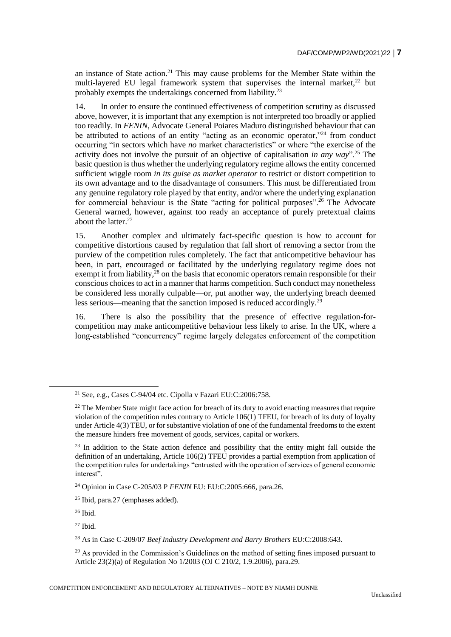an instance of State action.<sup>21</sup> This may cause problems for the Member State within the multi-layered EU legal framework system that supervises the internal market.<sup>22</sup> but probably exempts the undertakings concerned from liability.<sup>23</sup>

14. In order to ensure the continued effectiveness of competition scrutiny as discussed above, however, it is important that any exemption is not interpreted too broadly or applied too readily. In *FENIN*, Advocate General Poiares Maduro distinguished behaviour that can be attributed to actions of an entity "acting as an economic operator,"<sup>24</sup> from conduct occurring "in sectors which have *no* market characteristics" or where "the exercise of the activity does not involve the pursuit of an objective of capitalisation *in any way*".<sup>25</sup> The basic question is thus whether the underlying regulatory regime allows the entity concerned sufficient wiggle room *in its guise as market operator* to restrict or distort competition to its own advantage and to the disadvantage of consumers. This must be differentiated from any genuine regulatory role played by that entity, and/or where the underlying explanation for commercial behaviour is the State "acting for political purposes".<sup>26</sup> The Advocate General warned, however, against too ready an acceptance of purely pretextual claims about the latter  $27$ 

15. Another complex and ultimately fact-specific question is how to account for competitive distortions caused by regulation that fall short of removing a sector from the purview of the competition rules completely. The fact that anticompetitive behaviour has been, in part, encouraged or facilitated by the underlying regulatory regime does not exempt it from liability, $^{28}$  on the basis that economic operators remain responsible for their conscious choices to act in a manner that harms competition. Such conduct may nonetheless be considered less morally culpable—or, put another way, the underlying breach deemed less serious—meaning that the sanction imposed is reduced accordingly.<sup>29</sup>

16. There is also the possibility that the presence of effective regulation-forcompetition may make anticompetitive behaviour less likely to arise. In the UK, where a long-established "concurrency" regime largely delegates enforcement of the competition

<sup>21</sup> See, e.g., Cases C-94/04 etc. Cipolla v Fazari EU:C:2006:758.

 $22$  The Member State might face action for breach of its duty to avoid enacting measures that require violation of the competition rules contrary to Article 106(1) TFEU, for breach of its duty of loyalty under Article 4(3) TEU, or for substantive violation of one of the fundamental freedoms to the extent the measure hinders free movement of goods, services, capital or workers.

<sup>&</sup>lt;sup>23</sup> In addition to the State action defence and possibility that the entity might fall outside the definition of an undertaking, Article 106(2) TFEU provides a partial exemption from application of the competition rules for undertakings "entrusted with the operation of services of general economic interest".

<sup>24</sup> Opinion in Case C-205/03 P *FENIN* EU: EU:C:2005:666, para.26.

<sup>25</sup> Ibid, para.27 (emphases added).

 $26$  Ibid.

 $27$  Ibid.

<sup>28</sup> As in Case C-209/07 *Beef Industry Development and Barry Brothers* EU:C:2008:643.

 $^{29}$  As provided in the Commission's Guidelines on the method of setting fines imposed pursuant to Article 23(2)(a) of Regulation No 1/2003 (OJ C 210/2, 1.9.2006), para.29.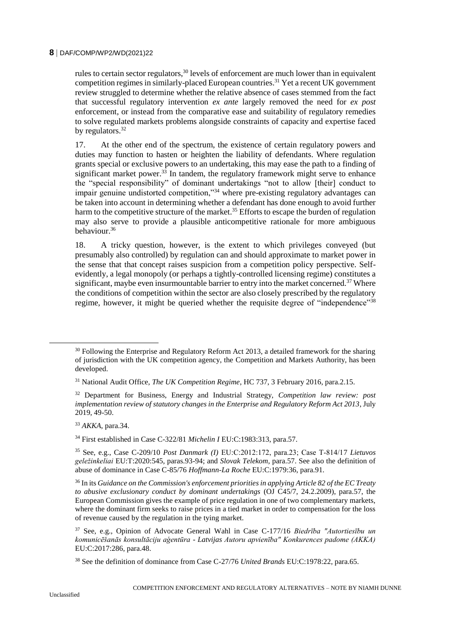rules to certain sector regulators,  $30$  levels of enforcement are much lower than in equivalent competition regimes in similarly-placed European countries.<sup>31</sup> Yet a recent UK government review struggled to determine whether the relative absence of cases stemmed from the fact that successful regulatory intervention *ex ante* largely removed the need for *ex post* enforcement, or instead from the comparative ease and suitability of regulatory remedies to solve regulated markets problems alongside constraints of capacity and expertise faced by regulators.<sup>32</sup>

17. At the other end of the spectrum, the existence of certain regulatory powers and duties may function to hasten or heighten the liability of defendants. Where regulation grants special or exclusive powers to an undertaking, this may ease the path to a finding of significant market power. $3\overline{3}$  In tandem, the regulatory framework might serve to enhance the "special responsibility" of dominant undertakings "not to allow [their] conduct to impair genuine undistorted competition,"<sup>34</sup> where pre-existing regulatory advantages can be taken into account in determining whether a defendant has done enough to avoid further harm to the competitive structure of the market.<sup>35</sup> Efforts to escape the burden of regulation may also serve to provide a plausible anticompetitive rationale for more ambiguous behaviour.<sup>36</sup>

18. A tricky question, however, is the extent to which privileges conveyed (but presumably also controlled) by regulation can and should approximate to market power in the sense that that concept raises suspicion from a competition policy perspective. Selfevidently, a legal monopoly (or perhaps a tightly-controlled licensing regime) constitutes a significant, maybe even insurmountable barrier to entry into the market concerned.<sup>37</sup> Where the conditions of competition within the sector are also closely prescribed by the regulatory regime, however, it might be queried whether the requisite degree of "independence"<sup>38</sup>

<sup>33</sup> *AKKA*, para.34.

<sup>34</sup> First established in Case C-322/81 *Michelin I* EU:C:1983:313, para.57.

<sup>&</sup>lt;sup>30</sup> Following the Enterprise and Regulatory Reform Act 2013, a detailed framework for the sharing of jurisdiction with the UK competition agency, the Competition and Markets Authority, has been developed.

<sup>31</sup> National Audit Office, *The UK Competition Regime*, HC 737, 3 February 2016, para.2.15.

<sup>32</sup> Department for Business, Energy and Industrial Strategy, *Competition law review: post implementation review of statutory changes in the Enterprise and Regulatory Reform Act 2013*, July 2019, 49-50.

<sup>35</sup> See, e.g., Case C-209/10 *Post Danmark (I)* EU:C:2012:172, para.23; Case T‑814/17 *Lietuvos geležinkeliai* EU:T:2020:545, paras.93-94; and *Slovak Telekom*, para.57. See also the definition of abuse of dominance in Case C-85/76 *Hoffmann-La Roche* EU:C:1979:36, para.91.

<sup>36</sup> In its *Guidance on the Commission's enforcement priorities in applying Article 82 of the EC Treaty to abusive exclusionary conduct by dominant undertakings* (OJ C45/7, 24.2.2009), para.57, the European Commission gives the example of price regulation in one of two complementary markets, where the dominant firm seeks to raise prices in a tied market in order to compensation for the loss of revenue caused by the regulation in the tying market.

<sup>37</sup> See, e.g., Opinion of Advocate General Wahl in Case C-177/16 *Biedrība "Autortiesību un komunicēšanās konsultāciju aģentūra - Latvijas Autoru apvienība" Konkurences padome (AKKA)* EU:C:2017:286, para.48.

<sup>38</sup> See the definition of dominance from Case C-27/76 *United Brands* EU:C:1978:22, para.65.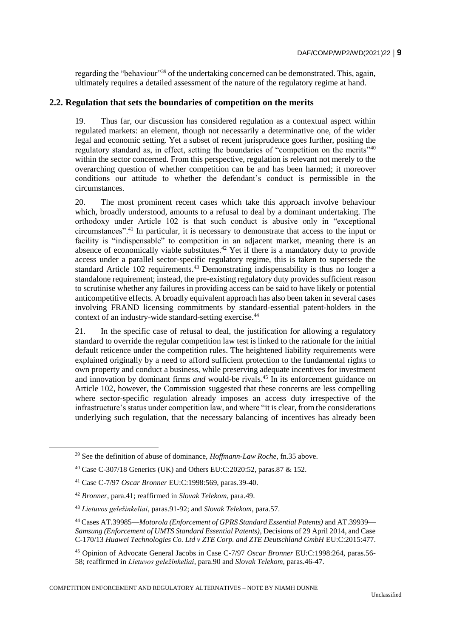regarding the "behaviour"<sup>39</sup> of the undertaking concerned can be demonstrated. This, again, ultimately requires a detailed assessment of the nature of the regulatory regime at hand.

## **2.2. Regulation that sets the boundaries of competition on the merits**

19. Thus far, our discussion has considered regulation as a contextual aspect within regulated markets: an element, though not necessarily a determinative one, of the wider legal and economic setting. Yet a subset of recent jurisprudence goes further, positing the regulatory standard as, in effect, setting the boundaries of "competition on the merits"<sup>40</sup> within the sector concerned. From this perspective, regulation is relevant not merely to the overarching question of whether competition can be and has been harmed; it moreover conditions our attitude to whether the defendant's conduct is permissible in the circumstances.

20. The most prominent recent cases which take this approach involve behaviour which, broadly understood, amounts to a refusal to deal by a dominant undertaking. The orthodoxy under Article 102 is that such conduct is abusive only in "exceptional circumstances".<sup>41</sup> In particular, it is necessary to demonstrate that access to the input or facility is "indispensable" to competition in an adjacent market, meaning there is an absence of economically viable substitutes.<sup>42</sup> Yet if there is a mandatory duty to provide access under a parallel sector-specific regulatory regime, this is taken to supersede the standard Article 102 requirements.<sup>43</sup> Demonstrating indispensability is thus no longer a standalone requirement; instead, the pre-existing regulatory duty provides sufficient reason to scrutinise whether any failures in providing access can be said to have likely or potential anticompetitive effects. A broadly equivalent approach has also been taken in several cases involving FRAND licensing commitments by standard-essential patent-holders in the context of an industry-wide standard-setting exercise.<sup>44</sup>

21. In the specific case of refusal to deal, the justification for allowing a regulatory standard to override the regular competition law test is linked to the rationale for the initial default reticence under the competition rules. The heightened liability requirements were explained originally by a need to afford sufficient protection to the fundamental rights to own property and conduct a business, while preserving adequate incentives for investment and innovation by dominant firms *and* would-be rivals.<sup>45</sup> In its enforcement guidance on Article 102, however, the Commission suggested that these concerns are less compelling where sector-specific regulation already imposes an access duty irrespective of the infrastructure's status under competition law, and where "it is clear, from the considerations underlying such regulation, that the necessary balancing of incentives has already been

<sup>39</sup> See the definition of abuse of dominance, *Hoffmann-Law Roche*, fn.35 above.

<sup>40</sup> Case C-307/18 Generics (UK) and Others EU:C:2020:52, paras.87 & 152.

<sup>41</sup> Case C-7/97 *Oscar Bronner* EU:C:1998:569, paras.39-40.

<sup>42</sup> *Bronner*, para.41; reaffirmed in *Slovak Telekom*, para.49.

<sup>43</sup> *Lietuvos geležinkeliai*, paras.91-92; and *Slovak Telekom*, para.57.

<sup>44</sup> Cases AT.39985—*Motorola (Enforcement of GPRS Standard Essential Patents)* and AT.39939— *Samsung (Enforcement of UMTS Standard Essential Patents)*, Decisions of 29 April 2014, and Case C-170/13 *Huawei Technologies Co. Ltd v ZTE Corp. and ZTE Deutschland GmbH* EU:C:2015:477.

<sup>45</sup> Opinion of Advocate General Jacobs in Case C-7/97 *Oscar Bronner* EU:C:1998:264, paras.56- 58; reaffirmed in *Lietuvos geležinkeliai*, para.90 and *Slovak Telekom*, paras.46-47.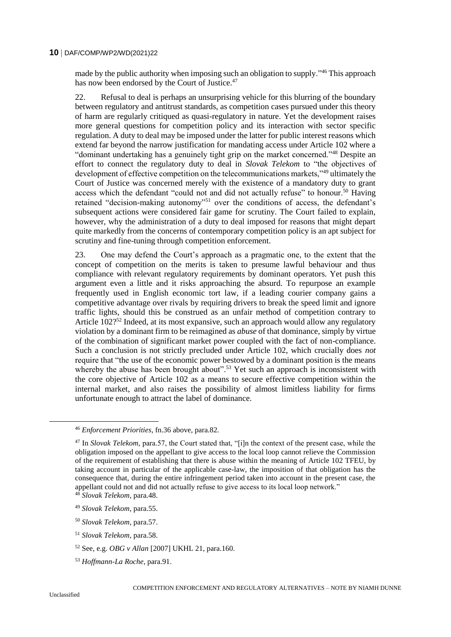made by the public authority when imposing such an obligation to supply.<sup>346</sup> This approach has now been endorsed by the Court of Justice.<sup>47</sup>

22. Refusal to deal is perhaps an unsurprising vehicle for this blurring of the boundary between regulatory and antitrust standards, as competition cases pursued under this theory of harm are regularly critiqued as quasi-regulatory in nature. Yet the development raises more general questions for competition policy and its interaction with sector specific regulation. A duty to deal may be imposed under the latter for public interest reasons which extend far beyond the narrow justification for mandating access under Article 102 where a "dominant undertaking has a genuinely tight grip on the market concerned."<sup>48</sup> Despite an effort to connect the regulatory duty to deal in *Slovak Telekom* to "the objectives of development of effective competition on the telecommunications markets,"<sup>49</sup> ultimately the Court of Justice was concerned merely with the existence of a mandatory duty to grant access which the defendant "could not and did not actually refuse" to honour.<sup>50</sup> Having retained "decision-making autonomy"<sup>51</sup> over the conditions of access, the defendant's subsequent actions were considered fair game for scrutiny. The Court failed to explain, however, why the administration of a duty to deal imposed for reasons that might depart quite markedly from the concerns of contemporary competition policy is an apt subject for scrutiny and fine-tuning through competition enforcement.

23. One may defend the Court's approach as a pragmatic one, to the extent that the concept of competition on the merits is taken to presume lawful behaviour and thus compliance with relevant regulatory requirements by dominant operators. Yet push this argument even a little and it risks approaching the absurd. To repurpose an example frequently used in English economic tort law, if a leading courier company gains a competitive advantage over rivals by requiring drivers to break the speed limit and ignore traffic lights, should this be construed as an unfair method of competition contrary to Article  $102$ <sup>252</sup> Indeed, at its most expansive, such an approach would allow any regulatory violation by a dominant firm to be reimagined as *abuse* of that dominance, simply by virtue of the combination of significant market power coupled with the fact of non-compliance. Such a conclusion is not strictly precluded under Article 102, which crucially does *not* require that "the use of the economic power bestowed by a dominant position is the means whereby the abuse has been brought about".<sup>53</sup> Yet such an approach is inconsistent with the core objective of Article 102 as a means to secure effective competition within the internal market, and also raises the possibility of almost limitless liability for firms unfortunate enough to attract the label of dominance.

<sup>51</sup> *Slovak Telekom*, para.58.

<sup>46</sup> *Enforcement Priorities*, fn.36 above, para.82.

<sup>47</sup> In *Slovak Telekom*, para.57, the Court stated that, "[i]n the context of the present case, while the obligation imposed on the appellant to give access to the local loop cannot relieve the Commission of the requirement of establishing that there is abuse within the meaning of Article 102 TFEU, by taking account in particular of the applicable case-law, the imposition of that obligation has the consequence that, during the entire infringement period taken into account in the present case, the appellant could not and did not actually refuse to give access to its local loop network." <sup>48</sup> *Slovak Telekom*, para.48.

<sup>49</sup> *Slovak Telekom*, para.55.

<sup>50</sup> *Slovak Telekom*, para.57.

<sup>52</sup> See, e.g. *OBG v Allan* [2007] UKHL 21, para.160.

<sup>53</sup> *Hoffmann-La Roche*, para.91.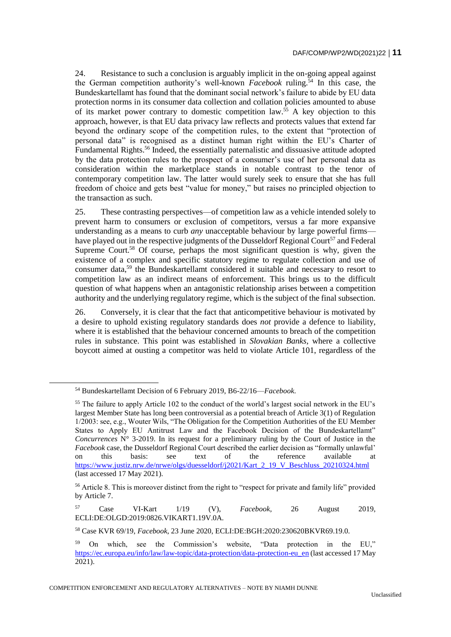24. Resistance to such a conclusion is arguably implicit in the on-going appeal against the German competition authority's well-known *Facebook* ruling.<sup>54</sup> In this case, the Bundeskartellamt has found that the dominant social network's failure to abide by EU data protection norms in its consumer data collection and collation policies amounted to abuse of its market power contrary to domestic competition law.<sup>55</sup> A key objection to this approach, however, is that EU data privacy law reflects and protects values that extend far beyond the ordinary scope of the competition rules, to the extent that "protection of personal data" is recognised as a distinct human right within the EU's Charter of Fundamental Rights.<sup>56</sup> Indeed, the essentially paternalistic and dissuasive attitude adopted by the data protection rules to the prospect of a consumer's use of her personal data as consideration within the marketplace stands in notable contrast to the tenor of contemporary competition law. The latter would surely seek to ensure that she has full freedom of choice and gets best "value for money," but raises no principled objection to the transaction as such.

25. These contrasting perspectives—of competition law as a vehicle intended solely to prevent harm to consumers or exclusion of competitors, versus a far more expansive understanding as a means to curb *any* unacceptable behaviour by large powerful firms have played out in the respective judgments of the Dusseldorf Regional Court<sup>57</sup> and Federal Supreme Court.<sup>58</sup> Of course, perhaps the most significant question is why, given the existence of a complex and specific statutory regime to regulate collection and use of consumer data,<sup>59</sup> the Bundeskartellamt considered it suitable and necessary to resort to competition law as an indirect means of enforcement. This brings us to the difficult question of what happens when an antagonistic relationship arises between a competition authority and the underlying regulatory regime, which is the subject of the final subsection.

26. Conversely, it is clear that the fact that anticompetitive behaviour is motivated by a desire to uphold existing regulatory standards does *not* provide a defence to liability, where it is established that the behaviour concerned amounts to breach of the competition rules in substance. This point was established in *Slovakian Banks*, where a collective boycott aimed at ousting a competitor was held to violate Article 101, regardless of the

<sup>54</sup> Bundeskartellamt Decision of 6 February 2019, B6-22/16—*Facebook*.

<sup>&</sup>lt;sup>55</sup> The failure to apply Article 102 to the conduct of the world's largest social network in the EU's largest Member State has long been controversial as a potential breach of Article 3(1) of Regulation 1/2003: see, e.g., Wouter Wils, "The Obligation for the Competition Authorities of the EU Member States to Apply EU Antitrust Law and the Facebook Decision of the Bundeskartellamt" *Concurrences* N° 3-2019. In its request for a preliminary ruling by the Court of Justice in the *Facebook* case, the Dusseldorf Regional Court described the earlier decision as "formally unlawful' on this basis: see text of the reference available at [https://www.justiz.nrw.de/nrwe/olgs/duesseldorf/j2021/Kart\\_2\\_19\\_V\\_Beschluss\\_20210324.html](https://www.justiz.nrw.de/nrwe/olgs/duesseldorf/j2021/Kart_2_19_V_Beschluss_20210324.html) (last accessed 17 May 2021).

<sup>&</sup>lt;sup>56</sup> Article 8. This is moreover distinct from the right to "respect for private and family life" provided by Article 7.

<sup>57</sup> Case VI-Kart 1/19 (V), *Facebook*, 26 August 2019, ECLI:DE:OLGD:2019:0826.VIKART1.19V.0A.

<sup>58</sup> Case KVR 69/19, *Facebook*, 23 June 2020, ECLI:DE:BGH:2020:230620BKVR69.19.0.

<sup>59</sup> On which, see the Commission's website, "Data protection in the EU," [https://ec.europa.eu/info/law/law-topic/data-protection/data-protection-eu\\_en](https://ec.europa.eu/info/law/law-topic/data-protection/data-protection-eu_en) (last accessed 17 May 2021).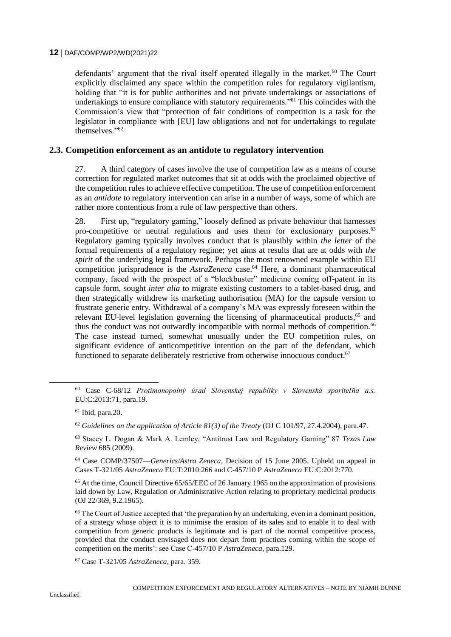defendants' argument that the rival itself operated illegally in the market. $60$  The Court explicitly disclaimed any space within the competition rules for regulatory vigilantism, holding that "it is for public authorities and not private undertakings or associations of undertakings to ensure compliance with statutory requirements." <sup>61</sup> This coincides with the Commission's view that "protection of fair conditions of competition is a task for the legislator in compliance with [EU] law obligations and not for undertakings to regulate themselves<sup>"62</sup>

# **2.3. Competition enforcement as an antidote to regulatory intervention**

27. A third category of cases involve the use of competition law as a means of course correction for regulated market outcomes that sit at odds with the proclaimed objective of the competition rules to achieve effective competition. The use of competition enforcement as an *antidote* to regulatory intervention can arise in a number of ways, some of which are rather more contentious from a rule of law perspective than others.

28. First up, "regulatory gaming," loosely defined as private behaviour that harnesses pro-competitive or neutral regulations and uses them for exclusionary purposes.<sup>63</sup> Regulatory gaming typically involves conduct that is plausibly within *the letter* of the formal requirements of a regulatory regime; yet aims at results that are at odds with *the spirit* of the underlying legal framework. Perhaps the most renowned example within EU competition jurisprudence is the *AstraZeneca* case.<sup>64</sup> Here, a dominant pharmaceutical company, faced with the prospect of a "blockbuster" medicine coming off-patent in its capsule form, sought *inter alia* to migrate existing customers to a tablet-based drug, and then strategically withdrew its marketing authorisation (MA) for the capsule version to frustrate generic entry. Withdrawal of a company's MA was expressly foreseen within the relevant EU-level legislation governing the licensing of pharmaceutical products,<sup>65</sup> and thus the conduct was not outwardly incompatible with normal methods of competition.<sup>66</sup> The case instead turned, somewhat unusually under the EU competition rules, on significant evidence of anticompetitive intention on the part of the defendant, which functioned to separate deliberately restrictive from otherwise innocuous conduct. $67$ 

<sup>65</sup> At the time, Council Directive 65/65/EEC of 26 January 1965 on the approximation of provisions laid down by Law, Regulation or Administrative Action relating to proprietary medicinal products (OJ 22/369, 9.2.1965).

<sup>67</sup> Case T-321/05 *AstraZeneca*, para. 359.

<sup>60</sup> Case C-68/12 *Protimonopolný úrad Slovenskej republiky v Slovenská sporiteľňa a.s.* EU:C:2013:71, para.19.

 $61$  Ibid, para. 20.

<sup>62</sup> *Guidelines on the application of Article 81(3) of the Treaty* (OJ C 101/97, 27.4.2004), para.47.

<sup>63</sup> Stacey L. Dogan & Mark A. Lemley, "Antitrust Law and Regulatory Gaming" 87 *Texas Law Review* 685 (2009).

<sup>64</sup> Case COMP/37507—*Generics/Astra Zeneca*, Decision of 15 June 2005. Upheld on appeal in Cases T-321/05 *AstraZeneca* EU:T:2010:266 and C-457/10 P *AstraZeneca* EU:C:2012:770.

<sup>66</sup> The Court of Justice accepted that 'the preparation by an undertaking, even in a dominant position, of a strategy whose object it is to minimise the erosion of its sales and to enable it to deal with competition from generic products is legitimate and is part of the normal competitive process, provided that the conduct envisaged does not depart from practices coming within the scope of competition on the merits': see Case C-457/10 P *AstraZeneca*, para.129.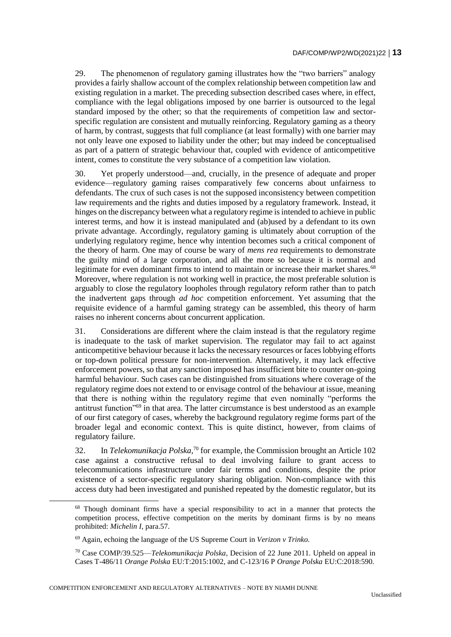29. The phenomenon of regulatory gaming illustrates how the "two barriers" analogy provides a fairly shallow account of the complex relationship between competition law and existing regulation in a market. The preceding subsection described cases where, in effect, compliance with the legal obligations imposed by one barrier is outsourced to the legal standard imposed by the other; so that the requirements of competition law and sectorspecific regulation are consistent and mutually reinforcing. Regulatory gaming as a theory of harm, by contrast, suggests that full compliance (at least formally) with one barrier may not only leave one exposed to liability under the other; but may indeed be conceptualised as part of a pattern of strategic behaviour that, coupled with evidence of anticompetitive intent, comes to constitute the very substance of a competition law violation.

30. Yet properly understood—and, crucially, in the presence of adequate and proper evidence—regulatory gaming raises comparatively few concerns about unfairness to defendants. The crux of such cases is not the supposed inconsistency between competition law requirements and the rights and duties imposed by a regulatory framework. Instead, it hinges on the discrepancy between what a regulatory regime is intended to achieve in public interest terms, and how it is instead manipulated and (ab)used by a defendant to its own private advantage. Accordingly, regulatory gaming is ultimately about corruption of the underlying regulatory regime, hence why intention becomes such a critical component of the theory of harm. One may of course be wary of *mens rea* requirements to demonstrate the guilty mind of a large corporation, and all the more so because it is normal and legitimate for even dominant firms to intend to maintain or increase their market shares.<sup>68</sup> Moreover, where regulation is not working well in practice, the most preferable solution is arguably to close the regulatory loopholes through regulatory reform rather than to patch the inadvertent gaps through *ad hoc* competition enforcement. Yet assuming that the requisite evidence of a harmful gaming strategy can be assembled, this theory of harm raises no inherent concerns about concurrent application.

31. Considerations are different where the claim instead is that the regulatory regime is inadequate to the task of market supervision. The regulator may fail to act against anticompetitive behaviour because it lacks the necessary resources or faces lobbying efforts or top-down political pressure for non-intervention. Alternatively, it may lack effective enforcement powers, so that any sanction imposed has insufficient bite to counter on-going harmful behaviour. Such cases can be distinguished from situations where coverage of the regulatory regime does not extend to or envisage control of the behaviour at issue, meaning that there is nothing within the regulatory regime that even nominally "performs the antitrust function"<sup>69</sup> in that area. The latter circumstance is best understood as an example of our first category of cases, whereby the background regulatory regime forms part of the broader legal and economic context. This is quite distinct, however, from claims of regulatory failure.

32. In *Telekomunikacja Polska*, <sup>70</sup> for example, the Commission brought an Article 102 case against a constructive refusal to deal involving failure to grant access to telecommunications infrastructure under fair terms and conditions, despite the prior existence of a sector-specific regulatory sharing obligation. Non-compliance with this access duty had been investigated and punished repeated by the domestic regulator, but its

 $\overline{a}$ 

COMPETITION ENFORCEMENT AND REGULATORY ALTERNATIVES – NOTE BY NIAMH DUNNE

<sup>68</sup> Though dominant firms have a special responsibility to act in a manner that protects the competition process, effective competition on the merits by dominant firms is by no means prohibited: *Michelin I*, para.57.

<sup>69</sup> Again, echoing the language of the US Supreme Court in *Verizon v Trinko.*

<sup>70</sup> Case COMP/39.525—*Telekomunikacja Polska*, Decision of 22 June 2011. Upheld on appeal in Cases T-486/11 *Orange Polska* EU:T:2015:1002, and C-123/16 P *Orange Polska* EU:C:2018:590.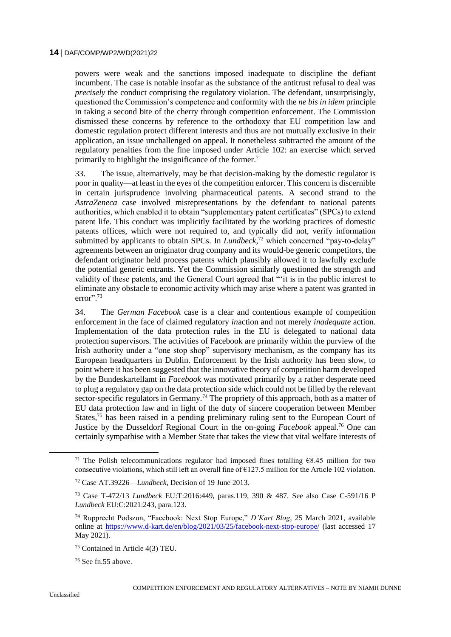powers were weak and the sanctions imposed inadequate to discipline the defiant incumbent. The case is notable insofar as the substance of the antitrust refusal to deal was *precisely* the conduct comprising the regulatory violation. The defendant, unsurprisingly, questioned the Commission's competence and conformity with the *ne bis in idem* principle in taking a second bite of the cherry through competition enforcement. The Commission dismissed these concerns by reference to the orthodoxy that EU competition law and domestic regulation protect different interests and thus are not mutually exclusive in their application, an issue unchallenged on appeal. It nonetheless subtracted the amount of the regulatory penalties from the fine imposed under Article 102: an exercise which served primarily to highlight the insignificance of the former.<sup>71</sup>

33. The issue, alternatively, may be that decision-making by the domestic regulator is poor in quality—at least in the eyes of the competition enforcer. This concern is discernible in certain jurisprudence involving pharmaceutical patents. A second strand to the *AstraZeneca* case involved misrepresentations by the defendant to national patents authorities, which enabled it to obtain "supplementary patent certificates" (SPCs) to extend patent life. This conduct was implicitly facilitated by the working practices of domestic patents offices, which were not required to, and typically did not, verify information submitted by applicants to obtain SPCs. In *Lundbeck*<sup>72</sup> which concerned "pay-to-delay" agreements between an originator drug company and its would-be generic competitors, the defendant originator held process patents which plausibly allowed it to lawfully exclude the potential generic entrants. Yet the Commission similarly questioned the strength and validity of these patents, and the General Court agreed that "'it is in the public interest to eliminate any obstacle to economic activity which may arise where a patent was granted in error".<sup>73</sup>

34. The *German Facebook* case is a clear and contentious example of competition enforcement in the face of claimed regulatory *in*action and not merely *inadequate* action. Implementation of the data protection rules in the EU is delegated to national data protection supervisors. The activities of Facebook are primarily within the purview of the Irish authority under a "one stop shop" supervisory mechanism, as the company has its European headquarters in Dublin. Enforcement by the Irish authority has been slow, to point where it has been suggested that the innovative theory of competition harm developed by the Bundeskartellamt in *Facebook* was motivated primarily by a rather desperate need to plug a regulatory gap on the data protection side which could not be filled by the relevant sector-specific regulators in Germany.<sup>74</sup> The propriety of this approach, both as a matter of EU data protection law and in light of the duty of sincere cooperation between Member States,<sup>75</sup> has been raised in a pending preliminary ruling sent to the European Court of Justice by the Dusseldorf Regional Court in the on-going *Facebook* appeal.<sup>76</sup> One can certainly sympathise with a Member State that takes the view that vital welfare interests of

<sup>&</sup>lt;sup>71</sup> The Polish telecommunications regulator had imposed fines totalling  $68.45$  million for two consecutive violations, which still left an overall fine of  $E127.5$  million for the Article 102 violation.

<sup>72</sup> Case AT.39226—*Lundbeck*, Decision of 19 June 2013.

<sup>73</sup> Case T-472/13 *Lundbeck* EU:T:2016:449, paras.119, 390 & 487. See also Case C-591/16 P *Lundbeck* EU:C:2021:243, para.123.

<sup>74</sup> Rupprecht Podszun, "Facebook: Next Stop Europe," *D'Kart Blog*, 25 March 2021, available online at<https://www.d-kart.de/en/blog/2021/03/25/facebook-next-stop-europe/> (last accessed 17 May 2021).

<sup>75</sup> Contained in Article 4(3) TEU.

 $76$  See fn.55 above.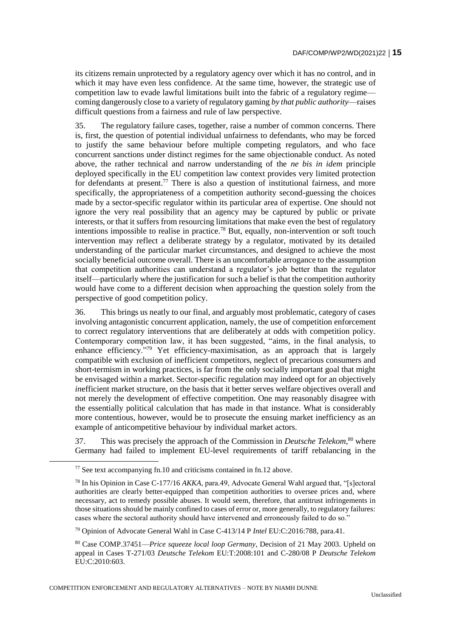its citizens remain unprotected by a regulatory agency over which it has no control, and in which it may have even less confidence. At the same time, however, the strategic use of competition law to evade lawful limitations built into the fabric of a regulatory regime coming dangerously close to a variety of regulatory gaming *by that public authority*—raises difficult questions from a fairness and rule of law perspective.

35. The regulatory failure cases, together, raise a number of common concerns. There is, first, the question of potential individual unfairness to defendants, who may be forced to justify the same behaviour before multiple competing regulators, and who face concurrent sanctions under distinct regimes for the same objectionable conduct. As noted above, the rather technical and narrow understanding of the *ne bis in idem* principle deployed specifically in the EU competition law context provides very limited protection for defendants at present.<sup>77</sup> There is also a question of institutional fairness, and more specifically, the appropriateness of a competition authority second-guessing the choices made by a sector-specific regulator within its particular area of expertise. One should not ignore the very real possibility that an agency may be captured by public or private interests, or that it suffers from resourcing limitations that make even the best of regulatory intentions impossible to realise in practice.<sup>78</sup> But, equally, non-intervention or soft touch intervention may reflect a deliberate strategy by a regulator, motivated by its detailed understanding of the particular market circumstances, and designed to achieve the most socially beneficial outcome overall. There is an uncomfortable arrogance to the assumption that competition authorities can understand a regulator's job better than the regulator itself—particularly where the justification for such a belief is that the competition authority would have come to a different decision when approaching the question solely from the perspective of good competition policy.

36. This brings us neatly to our final, and arguably most problematic, category of cases involving antagonistic concurrent application, namely, the use of competition enforcement to correct regulatory interventions that are deliberately at odds with competition policy. Contemporary competition law, it has been suggested, "aims, in the final analysis, to enhance efficiency."<sup>79</sup> Yet efficiency-maximisation, as an approach that is largely compatible with exclusion of inefficient competitors, neglect of precarious consumers and short-termism in working practices, is far from the only socially important goal that might be envisaged within a market. Sector-specific regulation may indeed opt for an objectively *in*efficient market structure, on the basis that it better serves welfare objectives overall and not merely the development of effective competition. One may reasonably disagree with the essentially political calculation that has made in that instance. What is considerably more contentious, however, would be to prosecute the ensuing market inefficiency as an example of anticompetitive behaviour by individual market actors.

37. This was precisely the approach of the Commission in *Deutsche Telekom*, <sup>80</sup> where Germany had failed to implement EU-level requirements of tariff rebalancing in the

<sup>77</sup> See text accompanying fn.10 and criticisms contained in fn.12 above.

<sup>78</sup> In his Opinion in Case C-177/16 *AKKA*, para.49, Advocate General Wahl argued that, "[s]ectoral authorities are clearly better-equipped than competition authorities to oversee prices and, where necessary, act to remedy possible abuses. It would seem, therefore, that antitrust infringements in those situations should be mainly confined to cases of error or, more generally, to regulatory failures: cases where the sectoral authority should have intervened and erroneously failed to do so."

<sup>79</sup> Opinion of Advocate General Wahl in Case C-413/14 P *Intel* EU:C:2016:788, para.41.

<sup>80</sup> Case COMP.37451—*Price squeeze local loop Germany*, Decision of 21 May 2003. Upheld on appeal in Cases T-271/03 *Deutsche Telekom* EU:T:2008:101 and C-280/08 P *Deutsche Telekom* EU:C:2010:603.